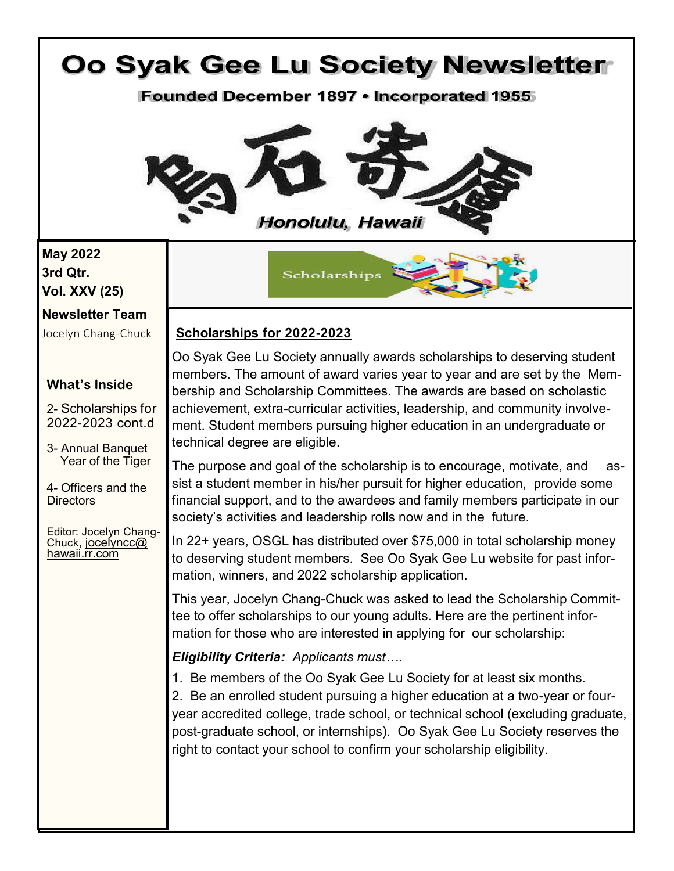# Oo Syak Gee Lu Society Newsletter **Founded December 1897 • Incorporated 1955** Honolulu, Hawaii **May 2022 3rd Qtr.** Scholarships **Vol. XXV (25) Newsletter Team Scholarships for 2022-2023** Jocelyn Chang-Chuck Oo Syak Gee Lu Society annually awards scholarships to deserving student members. The amount of award varies year to year and are set by the Mem-**What's Inside**  bership and Scholarship Committees. The awards are based on scholastic achievement, extra-curricular activities, leadership, and community involve-2- Scholarships for 2022-2023 cont.d ment. Student members pursuing higher education in an undergraduate or technical degree are eligible. 3- Annual Banquet Year of the Tiger The purpose and goal of the scholarship is to encourage, motivate, and assist a student member in his/her pursuit for higher education, provide some 4- Officers and the financial support, and to the awardees and family members participate in our **Directors** society's activities and leadership rolls now and in the future. Editor: Jocelyn Chang-In 22+ years, OSGL has distributed over \$75,000 in total scholarship money Chuck, [jocelyncc@](mailto:jocelyncc@hawaii.rr.com) [hawaii.rr.com](mailto:jocelyncc@hawaii.rr.com)to deserving student members. See Oo Syak Gee Lu website for past information, winners, and 2022 scholarship application. This year, Jocelyn Chang-Chuck was asked to lead the Scholarship Committee to offer scholarships to our young adults. Here are the pertinent information for those who are interested in applying for our scholarship: *Eligibility Criteria: Applicants must….* 1. Be members of the Oo Syak Gee Lu Society for at least six months. 2. Be an enrolled student pursuing a higher education at a two-year or fouryear accredited college, trade school, or technical school (excluding graduate, post-graduate school, or internships). Oo Syak Gee Lu Society reserves the right to contact your school to confirm your scholarship eligibility.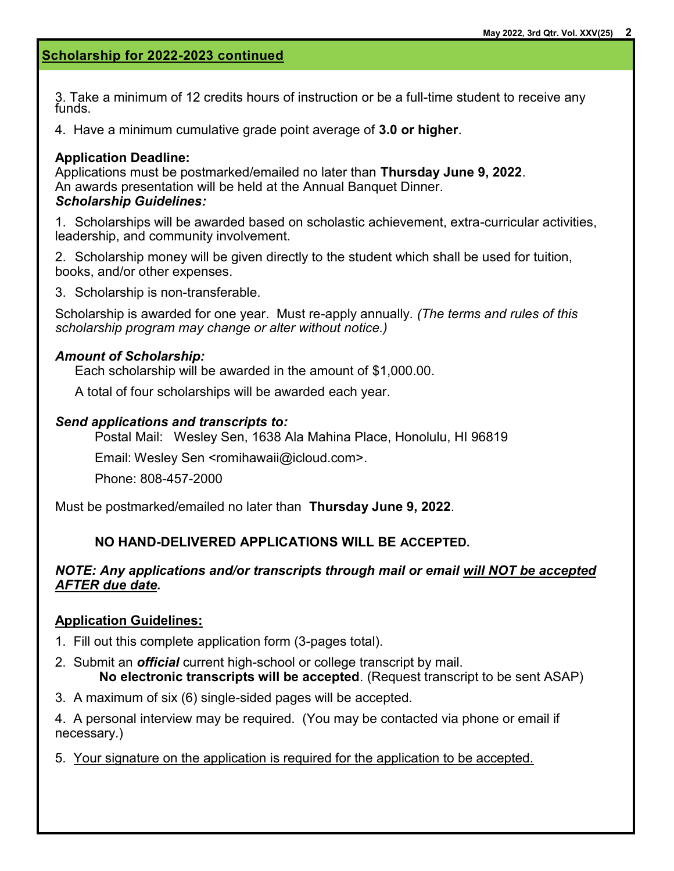# **Scholarship for 2022-2023 continued**

3. Take a minimum of 12 credits hours of instruction or be a full-time student to receive any funds.

4. Have a minimum cumulative grade point average of **3.0 or higher**.

### **Application Deadline:**

Applications must be postmarked/emailed no later than **Thursday June 9, 2022**. An awards presentation will be held at the Annual Banquet Dinner. *Scholarship Guidelines:* 

1. Scholarships will be awarded based on scholastic achievement, extra-curricular activities, leadership, and community involvement.

2. Scholarship money will be given directly to the student which shall be used for tuition, books, and/or other expenses.

3. Scholarship is non-transferable.

Scholarship is awarded for one year. Must re-apply annually. *(The terms and rules of this scholarship program may change or alter without notice.)*

### *Amount of Scholarship:*

Each scholarship will be awarded in the amount of \$1,000.00.

A total of four scholarships will be awarded each year.

### *Send applications and transcripts to:*

Postal Mail: Wesley Sen, 1638 Ala Mahina Place, Honolulu, HI 96819

Email: Wesley Sen <romihawaii@icloud.com>.

Phone: 808-457-2000

Must be postmarked/emailed no later than **Thursday June 9, 2022**.

### **NO HAND-DELIVERED APPLICATIONS WILL BE ACCEPTED.**

### *NOTE: Any applications and/or transcripts through mail or email will NOT be accepted AFTER due date.*

### **Application Guidelines:**

- 1. Fill out this complete application form (3-pages total).
- 2. Submit an *official* current high-school or college transcript by mail. **No electronic transcripts will be accepted**. (Request transcript to be sent ASAP)
- 3. A maximum of six (6) single-sided pages will be accepted.

4. A personal interview may be required. (You may be contacted via phone or email if necessary.)

5. Your signature on the application is required for the application to be accepted.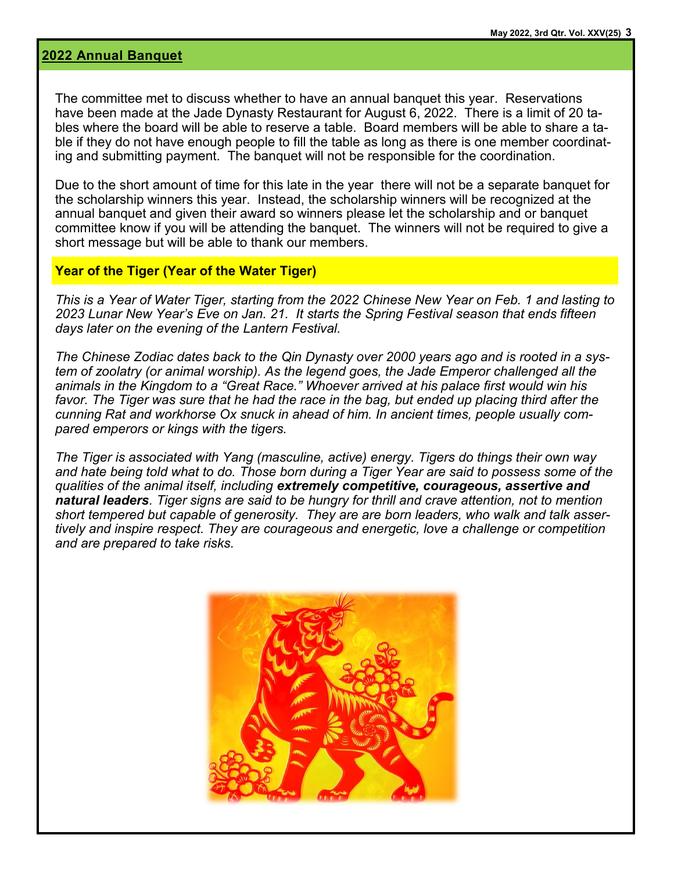### **2022 Annual Banquet**

The committee met to discuss whether to have an annual banquet this year. Reservations have been made at the Jade Dynasty Restaurant for August 6, 2022. There is a limit of 20 tables where the board will be able to reserve a table. Board members will be able to share a table if they do not have enough people to fill the table as long as there is one member coordinating and submitting payment. The banquet will not be responsible for the coordination.

Due to the short amount of time for this late in the year there will not be a separate banquet for the scholarship winners this year. Instead, the scholarship winners will be recognized at the annual banquet and given their award so winners please let the scholarship and or banquet committee know if you will be attending the banquet. The winners will not be required to give a short message but will be able to thank our members.

#### **Year of the Tiger (Year of the Water Tiger)**

*This is a Year of Water Tiger, starting from the 2022 Chinese New Year on Feb. 1 and lasting to 2023 Lunar New Year's Eve on Jan. 21. It starts the Spring Festival season that ends fifteen days later on the evening of the Lantern Festival.* 

*The Chinese Zodiac dates back to the Qin Dynasty over 2000 years ago and is rooted in a system of zoolatry (or animal worship). As the legend goes, the Jade Emperor challenged all the animals in the Kingdom to a "Great Race." Whoever arrived at his palace first would win his*  favor. The Tiger was sure that he had the race in the bag, but ended up placing third after the *cunning Rat and workhorse Ox snuck in ahead of him. In ancient times, people usually compared emperors or kings with the tigers.*

*The Tiger is associated with Yang (masculine, active) energy. Tigers do things their own way and hate being told what to do. Those born during a Tiger Year are said to possess some of the qualities of the animal itself, including extremely competitive, courageous, assertive and natural leaders. Tiger signs are said to be hungry for thrill and crave attention, not to mention short tempered but capable of generosity. They are are born leaders, who walk and talk assertively and inspire respect. They are courageous and energetic, love a challenge or competition and are prepared to take risks.*